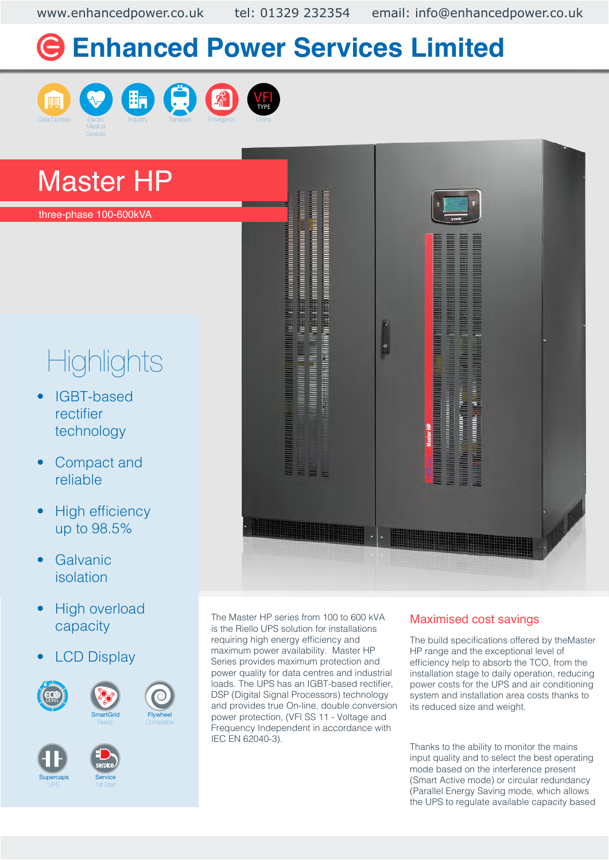www.enhancedpower.co.uk tel: 01329 232354 email: info@enhancedpower.co.uk

# **Enhanced Power Services Limited**











## Master HP

three-phase 100-600kVA

# **Highlights**

- IGBT-based rectifier technology
- Compact and reliable
- **High efficiency** up to 98.5%
- **Galvanic** isolation
- High overload capacity
- **LCD Display**













The Master HP series from 100 to 600 kVA is the Riello UPS solution for installations requiring high energy efficiency and maximum power availability. Master HP Series provides maximum protection and power quality for data centres and industrial loads. The UPS has an IGBT-based rectifier, DSP (Digital Signal Processors) technology and provides true On-line, double conversion



#### Maximised cost savings

The build specifications offered by theMaster HP range and the exceptional level of efficiency help to absorb the TCO, from the installation stage to daily operation, reducing power costs for the UPS and air conditioning system and installation area costs thanks to its reduced size and weight.

Thanks to the ability to monitor the mains input quality and to select the best operating mode based on the interference present (Smart Active mode) or circular redundancy (Parallel Energy Saving mode, which allows the UPS to regulate available capacity based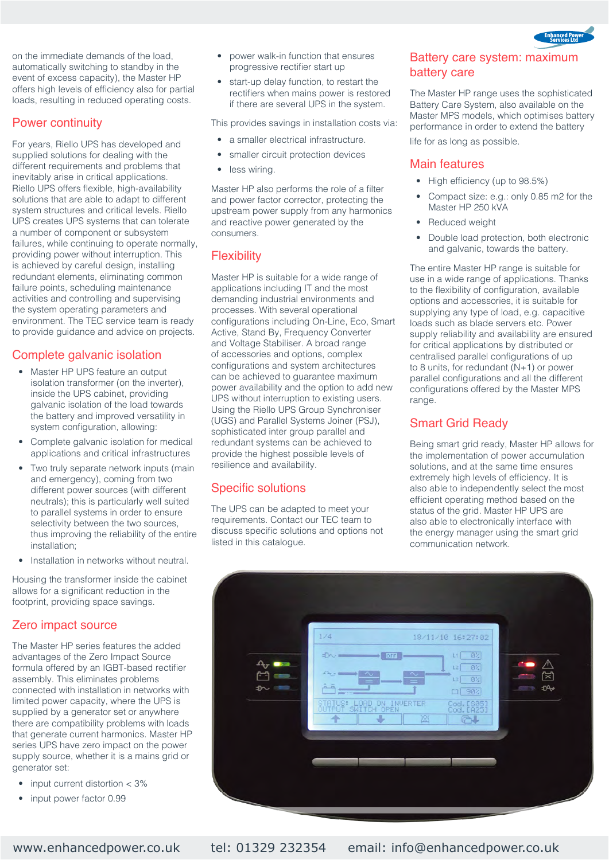

on the immediate demands of the load, automatically switching to standby in the event of excess capacity), the Master HP offers high levels of efficiency also for partial loads, resulting in reduced operating costs.

#### Power continuity

For years, Riello UPS has developed and supplied solutions for dealing with the different requirements and problems that inevitably arise in critical applications. Riello UPS offers flexible, high-availability solutions that are able to adapt to different system structures and critical levels. Riello UPS creates UPS systems that can tolerate a number of component or subsystem failures, while continuing to operate normally, providing power without interruption. This is achieved by careful design, installing redundant elements, eliminating common failure points, scheduling maintenance activities and controlling and supervising the system operating parameters and environment. The TEC service team is ready to provide guidance and advice on projects.

#### Complete galvanic isolation

- Master HP UPS feature an output isolation transformer (on the inverter), inside the UPS cabinet, providing galvanic isolation of the load towards the battery and improved versatility in system configuration, allowing:
- Complete galvanic isolation for medical applications and critical infrastructures
- Two truly separate network inputs (main and emergency), coming from two different power sources (with different neutrals); this is particularly well suited to parallel systems in order to ensure selectivity between the two sources, thus improving the reliability of the entire installation;
- Installation in networks without neutral.

Housing the transformer inside the cabinet allows for a significant reduction in the footprint, providing space savings.

#### Zero impact source

The Master HP series features the added advantages of the Zero Impact Source formula offered by an IGBT-based rectifier assembly. This eliminates problems connected with installation in networks with limited power capacity, where the UPS is supplied by a generator set or anywhere there are compatibility problems with loads that generate current harmonics. Master HP series UPS have zero impact on the power supply source, whether it is a mains grid or generator set:

- input current distortion < 3%
- input power factor 0.99
- power walk-in function that ensures progressive rectifier start up
- start-up delay function, to restart the rectifiers when mains power is restored if there are several UPS in the system.

This provides savings in installation costs via:

- a smaller electrical infrastructure.
- smaller circuit protection devices
- less wiring.

Master HP also performs the role of a filter and power factor corrector, protecting the upstream power supply from any harmonics and reactive power generated by the consumers.

#### **Flexibility**

Master HP is suitable for a wide range of applications including IT and the most demanding industrial environments and processes. With several operational configurations including On-Line, Eco, Smart Active, Stand By, Frequency Converter and Voltage Stabiliser. A broad range of accessories and options, complex configurations and system architectures can be achieved to guarantee maximum power availability and the option to add new UPS without interruption to existing users. Using the Riello UPS Group Synchroniser (UGS) and Parallel Systems Joiner (PSJ), sophisticated inter group parallel and redundant systems can be achieved to provide the highest possible levels of resilience and availability.

#### Specific solutions

The UPS can be adapted to meet your requirements. Contact our TEC team to discuss specific solutions and options not listed in this catalogue.

#### Battery care system: maximum battery care

The Master HP range uses the sophisticated Battery Care System, also available on the Master MPS models, which optimises battery performance in order to extend the battery

life for as long as possible.

#### Main features

- High efficiency (up to 98.5%)
- Compact size: e.g.: only 0.85 m2 for the Master HP 250 kVA
- Reduced weight
- Double load protection, both electronic and galvanic, towards the battery.

The entire Master HP range is suitable for use in a wide range of applications. Thanks to the flexibility of configuration, available options and accessories, it is suitable for supplying any type of load, e.g. capacitive loads such as blade servers etc. Power supply reliability and availability are ensured for critical applications by distributed or centralised parallel configurations of up to 8 units, for redundant (N+1) or power parallel configurations and all the different configurations offered by the Master MPS range.

#### Smart Grid Ready

Being smart grid ready, Master HP allows for the implementation of power accumulation solutions, and at the same time ensures extremely high levels of efficiency. It is also able to independently select the most efficient operating method based on the status of the grid. Master HP UPS are also able to electronically interface with the energy manager using the smart grid communication network.

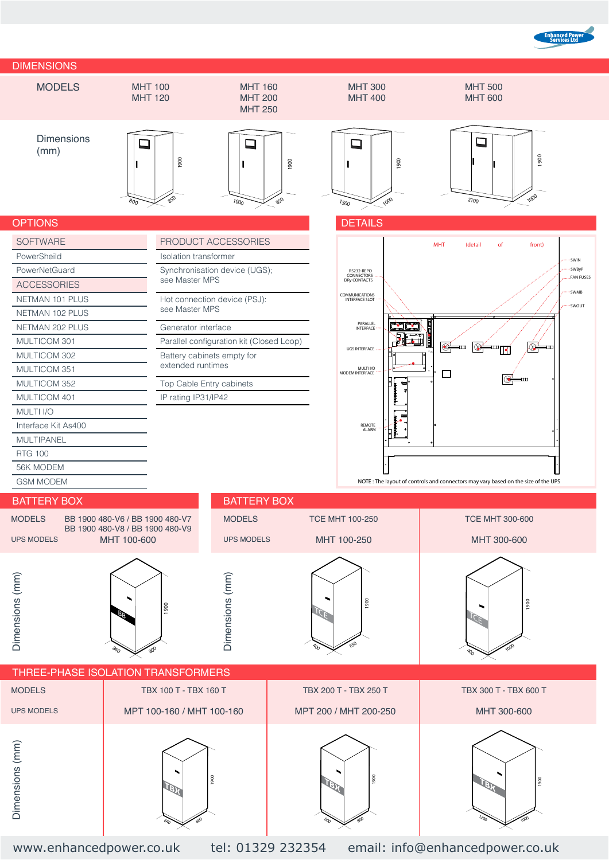



640

800

800

 $80^{\circ}$ 

www.enhancedpower.co.uk tel: 01329 232354 email: info@enhancedpower.co.uk

 $1200$ 

1000